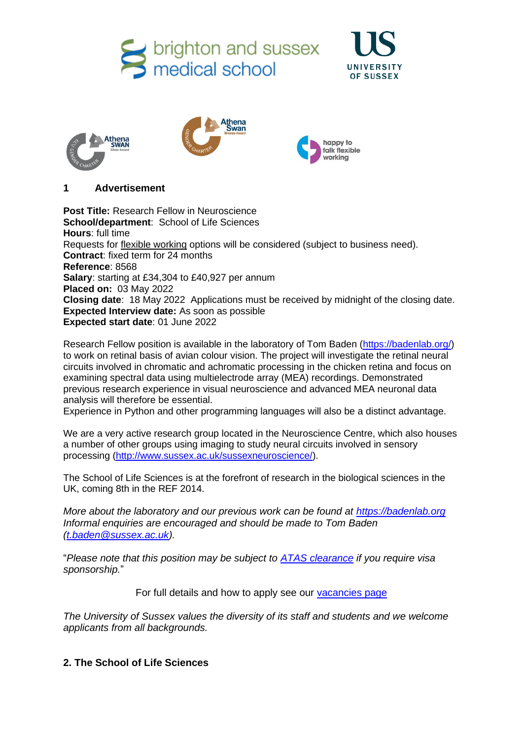brighton and sussex<br>medical school









# **1 Advertisement**

**Post Title:** Research Fellow in Neuroscience **School/department**: School of Life Sciences **Hours**: full time Requests for [flexible working](http://www.sussex.ac.uk/humanresources/personnel/flexible-working) options will be considered (subject to business need). **Contract**: fixed term for 24 months **Reference**: 8568 **Salary**: starting at £34,304 to £40,927 per annum **Placed on:** 03 May 2022 **Closing date**: 18 May 2022 Applications must be received by midnight of the closing date. **Expected Interview date:** As soon as possible **Expected start date**: 01 June 2022

Research Fellow position is available in the laboratory of Tom Baden [\(https://badenlab.org/\)](https://badenlab.org/) to work on retinal basis of avian colour vision. The project will investigate the retinal neural circuits involved in chromatic and achromatic processing in the chicken retina and focus on examining spectral data using multielectrode array (MEA) recordings. Demonstrated previous research experience in visual neuroscience and advanced MEA neuronal data analysis will therefore be essential.

Experience in Python and other programming languages will also be a distinct advantage.

We are a very active research group located in the Neuroscience Centre, which also houses a number of other groups using imaging to study neural circuits involved in sensory processing [\(http://www.sussex.ac.uk/sussexneuroscience/\)](http://www.sussex.ac.uk/sussexneuroscience/).

The School of Life Sciences is at the forefront of research in the biological sciences in the UK, coming 8th in the REF 2014.

*More about the laboratory and our previous work can be found at [https://badenlab.org](https://badenlab.org/)  Informal enquiries are encouraged and should be made to Tom Baden [\(t.baden@sussex.ac.uk\)](mailto:t.baden@sussex.ac.uk).*

"*Please note that this position may be subject to [ATAS clearance](https://www.gov.uk/guidance/academic-technology-approval-scheme) if you require visa sponsorship.*"

For full details and how to apply see our [vacancies page](http://www.sussex.ac.uk/about/jobs)

*The University of Sussex values the diversity of its staff and students and we welcome applicants from all backgrounds.*

## **2. The School of Life Sciences**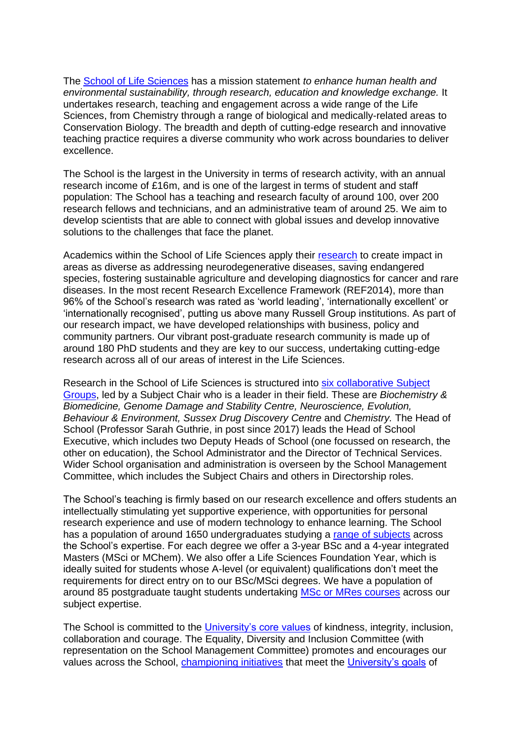The [School of Life Sciences](http://www.sussex.ac.uk/lifesci/) has a mission statement *to enhance human health and environmental sustainability, through research, education and knowledge exchange.* It undertakes research, teaching and engagement across a wide range of the Life Sciences, from Chemistry through a range of biological and medically-related areas to Conservation Biology. The breadth and depth of cutting-edge research and innovative teaching practice requires a diverse community who work across boundaries to deliver excellence.

The School is the largest in the University in terms of research activity, with an annual research income of £16m, and is one of the largest in terms of student and staff population: The School has a teaching and research faculty of around 100, over 200 research fellows and technicians, and an administrative team of around 25. We aim to develop scientists that are able to connect with global issues and develop innovative solutions to the challenges that face the planet.

Academics within the School of Life Sciences apply their [research](http://www.sussex.ac.uk/lifesci/research) to create impact in areas as diverse as addressing neurodegenerative diseases, saving endangered species, fostering sustainable agriculture and developing diagnostics for cancer and rare diseases. In the most recent Research Excellence Framework (REF2014), more than 96% of the School's research was rated as 'world leading', 'internationally excellent' or 'internationally recognised', putting us above many Russell Group institutions. As part of our research impact, we have developed relationships with business, policy and community partners. Our vibrant post-graduate research community is made up of around 180 PhD students and they are key to our success, undertaking cutting-edge research across all of our areas of interest in the Life Sciences.

Research in the School of Life Sciences is structured into [six collaborative Subject](http://www.sussex.ac.uk/lifesci/)  [Groups,](http://www.sussex.ac.uk/lifesci/) led by a Subject Chair who is a leader in their field. These are *Biochemistry & Biomedicine, Genome Damage and Stability Centre, Neuroscience, Evolution, Behaviour & Environment, Sussex Drug Discovery Centre* and *Chemistry.* The Head of School (Professor Sarah Guthrie, in post since 2017) leads the Head of School Executive, which includes two Deputy Heads of School (one focussed on research, the other on education), the School Administrator and the Director of Technical Services. Wider School organisation and administration is overseen by the School Management Committee, which includes the Subject Chairs and others in Directorship roles.

The School's teaching is firmly based on our research excellence and offers students an intellectually stimulating yet supportive experience, with opportunities for personal research experience and use of modern technology to enhance learning. The School has a population of around 1650 undergraduates studying a [range of subjects](http://www.sussex.ac.uk/lifesci/ugstudy) across the School's expertise. For each degree we offer a 3-year BSc and a 4-year integrated Masters (MSci or MChem). We also offer a Life Sciences Foundation Year, which is ideally suited for students whose A-level (or equivalent) qualifications don't meet the requirements for direct entry on to our BSc/MSci degrees. We have a population of around 85 postgraduate taught students undertaking [MSc or MRes courses](http://www.sussex.ac.uk/lifesci/pgstudy) across our subject expertise.

The School is committed to the [University's core values](https://www.sussex.ac.uk/strategy/) of kindness, integrity, inclusion, collaboration and courage. The Equality, Diversity and Inclusion Committee (with representation on the School Management Committee) promotes and encourages our values across the School, [championing initiatives](http://www.sussex.ac.uk/lifesci/equality-diversity-and-inclusion/) that meet the [University's goals](https://www.sussex.ac.uk/equalities/strategy) of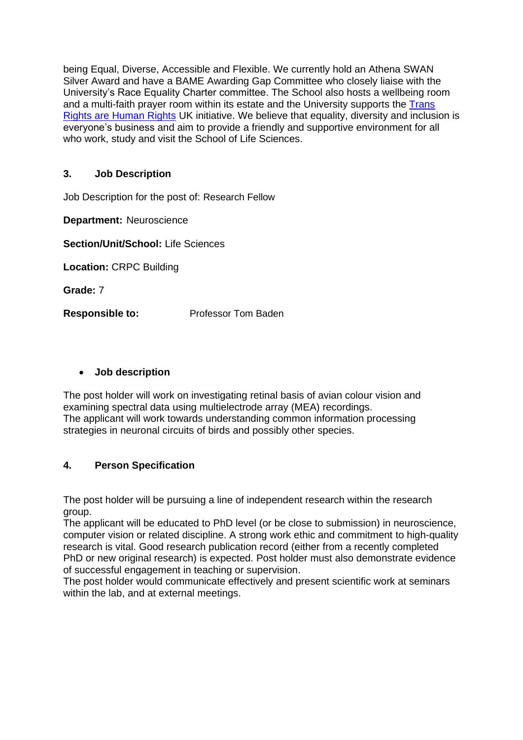being Equal, Diverse, Accessible and Flexible. We currently hold an Athena SWAN Silver Award and have a BAME Awarding Gap Committee who closely liaise with the University's Race Equality Charter committee. The School also hosts a wellbeing room and a multi-faith prayer room within its estate and the University supports the [Trans](https://www.sussex.ac.uk/news/university?id=52962)  [Rights are Human Rights](https://www.sussex.ac.uk/news/university?id=52962) UK initiative. We believe that equality, diversity and inclusion is everyone's business and aim to provide a friendly and supportive environment for all who work, study and visit the School of Life Sciences.

## **3. Job Description**

Job Description for the post of: Research Fellow

**Department:** Neuroscience

**Section/Unit/School:** Life Sciences

**Location:** CRPC Building

**Grade:** 7

**Responsible to:** Professor Tom Baden

#### • **Job description**

The post holder will work on investigating retinal basis of avian colour vision and examining spectral data using multielectrode array (MEA) recordings. The applicant will work towards understanding common information processing strategies in neuronal circuits of birds and possibly other species.

## **4. Person Specification**

The post holder will be pursuing a line of independent research within the research group.

The applicant will be educated to PhD level (or be close to submission) in neuroscience, computer vision or related discipline. A strong work ethic and commitment to high-quality research is vital. Good research publication record (either from a recently completed PhD or new original research) is expected. Post holder must also demonstrate evidence of successful engagement in teaching or supervision.

The post holder would communicate effectively and present scientific work at seminars within the lab, and at external meetings.